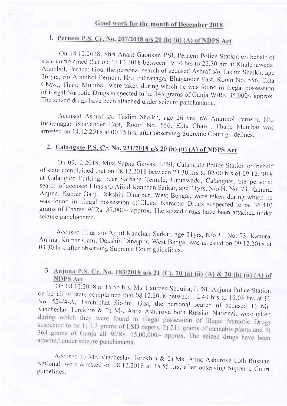# 1. Pernem P.S. Cr. No. 207/2018 u/s 20 (b) (ii) (A) of NDPS Act

On 14,12,2018, Shri Anant Gaonkar, PSI, Pernem Police Station on behalf of state complained that on 13,12,2018 between 19.30 hrs to 22.30 hrs at Khalchawada, Arambol, Pernem Goa, the personal search of accused Ashraf s/o Taslim Shaikh, age 26 yrs, r/o Arambol Pernem, N/o Indiranagar Bhayander East, Room No. 556, Ekta Chawl, Thane Mumbai, were taken during which he was found in

Accused Ashraf s/o Taslim Shaikh, age 26 yrs, r/o Arambol Pernem, N/o Indiranagar Bhayander East, Room No. 556, Ekta Chawl, Thane Mumbai was arrested on 14.12.2018 at 00.15 hrs, after observing Supreme Court guidelines.

## 2. Calaneute P.S. Cr. No.23t12018 u/s 20 (b) (ii) (A) of NDpS Act

On 09.12,2018, Miss Sapna Gawas, LPSI, Calangute Police Station on behalf<br>of state complained that on 08.12.2018 between 23.30 hrs to 02.00 hrs of 09.12.2018<br>at Calangute Parking, near Saibaba Temple, Umtawado, Calangute,

Accused Elias s/o Ajijul Kanchan Sarkar, age 21yrs, N/o H. No. 73, Kanura, Anjina, Kumar Ganj, Dakshin Dinajpur, West Bengal was arrested on 09.12.2018 at 03.30 hrs. after observing Supreme Court guidelines.

### 3. Anjuna P.S. Cr. No. 183/2018 u/s 21 (C), 20 (a) (ii) (A) & 20 (b) (ii) (A) of NDPS Act **NDPS Act**

On 08.12.2018 at 15.55 hrs, Ms. Laureen Sequira, LPSI, Anjuna Police Station on behalf of state complained that 08.12.2018 between 12.40 hrs to 15.05 hrs at H. on behalf of state complained that 08.12.2018 between 12.40 hrs to 15.05 hrs at H.<br>No. 524/4-A, Tarchibhat Siolim, Goa, the personal search of accused 1) Mr.<br>Viacheslav Terekhin & 2) Ms. Anna Ashurova both Russian National No. suspected to be 1) 1.3 grams of LSD papers, 2) 211 grams of cannabis plants and 3) 364 grams of Ganja all W/Rs. 15,00,000/- approx. The seized drugs have been attached under seizure panchanama.

Accused 1) Mr. Viacheslav Terekhin & 2) Ms. Anna Ashurova both Russian National, were arrested on 08.12.2018 at 15.55 hrs, after observing Supreme Court 'hrs, National, were arrested on 08.12.2018 at 15.55 hrs, after observing Supreme Court guidelines.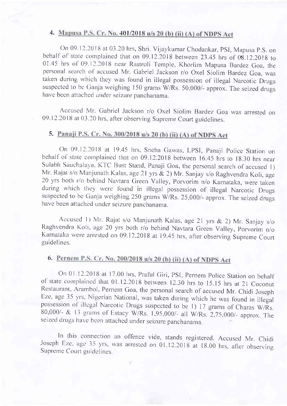### 4. Mapusa P.S. Cr. No. 401/2018 u/s 20 (b) (ii) (A) of NDPS Act

On 09. 12.2018 at 03.20 hrs, Shri. Vijaykumar Chodankar, PSI, Mapusa P.S. on behalf of state complained that on  $09.12.2018$  between 23.45 hrs of  $08.12.2018$  to 01.45 hrs of 09.12.2018 near Rastroli Temple, Khorlim Mapusa Bardez Goa, the personal search of accused Mr. Gabriel Jackson r/o Oxel Siolim Bardez Goa, was taken during which they was found in illegal possession of illegal Narcotic Drugs suspected to be Ganja weighing 150 grams  $W/Rs$ . 50,000/- approx. The seized drugs have been attached under seizure panchanama.

Accused Mr. Gabriel Jackson r/o Oxel Siolim Bardez Goa was arrested on 09.12.2018 at 03.20 hrs, after observing Supreme Court guidelines.

#### 5. Panaji P.S. Cr. No. 300/2018 u/s 20 (b) (ii) (A) of NDPS Act

On 09.12.2018 at 19.45 hrs, Sneha Gawas, LPSI, Panaji Police Station on behalf of state complained that on 09.12.2018 between 16.45 hrs to 18.30 hrs near Sulabh Sauchalaya, KTC Bust Stand, Panaji Goa, the personal search of accused 1) Mr. Rajat s/o Manjunath Kalas, age 21 yrs & 2) Mr. Sanjay s/o Raghvendra Koli, age <sup>20</sup>yrs both r/o bchind Navtara Green Valley, porvorim n/o Karnataka, were taken during which they were found in illegal possession of illegal Narcotic Drugs suspected to be Ganja weighing 250 grams W/Rs. 25,000/- approx. The seized drugs have been attached under seizure panchanama.

Accused 1) Mr. Rajat s/o Manjunath Kalas, age 21 yrs & 2) Mr. Sanjay s/o Raghvendra Koli, age 20 yrs both r/o behind Navtara Green Valley, Porvorim n/o Karnataka were arrested on 09.12.2018 at 19.45 hrs, after observing Supreme Court guidelines.

## 6. Pernem P.S. Cr. No. 200/2018 u/s 20 (b) (ii) (A) of NDPS Act

On 01,12.2018 at 17.00 hrs, Praful Giri, PSI, Pernem Police Station on behalf of state complained that 01.12.2018 between 12.30 hrs to 15.15 hrs at 21 Coconut Restaurant, Arambol, Pernem Goa, the personal search of accused Eze, age 35 yrs. Nigerian National, was taken during which he was found in illegal possession of illegal Narcotic Drugs suspected to be 1) 17 grams of Charas W/Rs. 80,000/- & 13 grams of Estacy W/Rs. 1,95,000/- all W/Rs. 2,75,000/- approx. The seizcd drugs havc bccn attachcd under seizure panchanama.

In this connection an offence vide, stands registered. Accused Mr. Chidi Joseph Eze, age 35 yrs, was arrested on 01.12.2018 at 18.00 hrs, after observing Supreme Court guidelines.